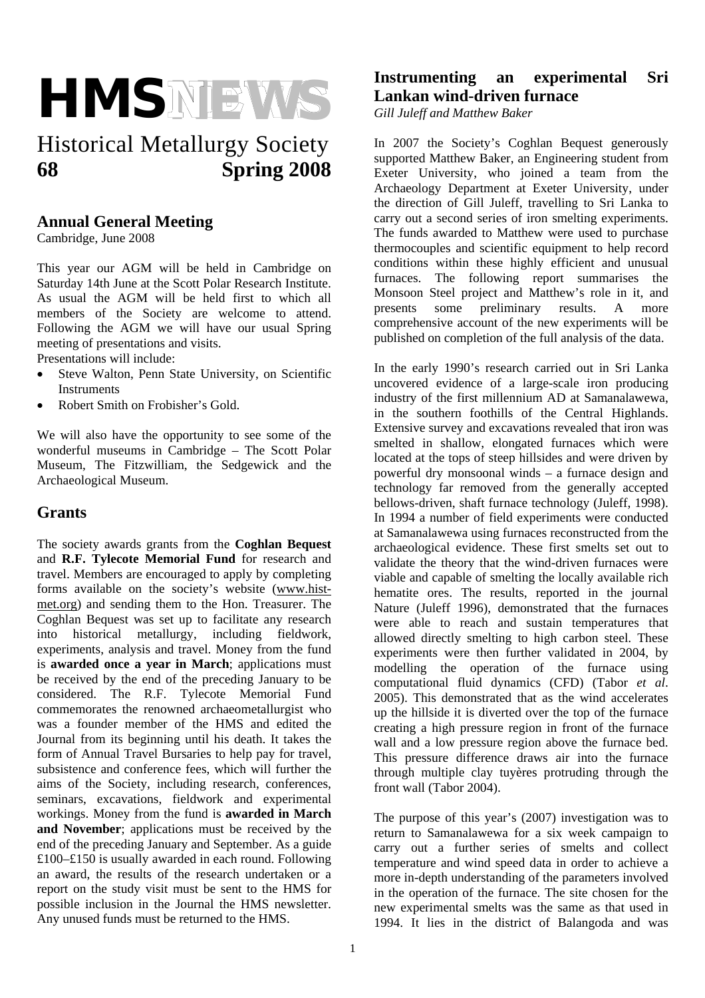

# Historical Metallurgy Society **68 Spring 2008**

### **Annual General Meeting**

Cambridge, June 2008

This year our AGM will be held in Cambridge on Saturday 14th June at the Scott Polar Research Institute. As usual the AGM will be held first to which all members of the Society are welcome to attend. Following the AGM we will have our usual Spring meeting of presentations and visits.

Presentations will include:

- Steve Walton, Penn State University, on Scientific **Instruments**
- Robert Smith on Frobisher's Gold.

We will also have the opportunity to see some of the wonderful museums in Cambridge – The Scott Polar Museum, The Fitzwilliam, the Sedgewick and the Archaeological Museum.

### **Grants**

The society awards grants from the **Coghlan Bequest** and **R.F. Tylecote Memorial Fund** for research and travel. Members are encouraged to apply by completing forms available on the society's website (www.histmet.org) and sending them to the Hon. Treasurer. The Coghlan Bequest was set up to facilitate any research into historical metallurgy, including fieldwork, experiments, analysis and travel. Money from the fund is **awarded once a year in March**; applications must be received by the end of the preceding January to be considered. The R.F. Tylecote Memorial Fund commemorates the renowned archaeometallurgist who was a founder member of the HMS and edited the Journal from its beginning until his death. It takes the form of Annual Travel Bursaries to help pay for travel, subsistence and conference fees, which will further the aims of the Society, including research, conferences, seminars, excavations, fieldwork and experimental workings. Money from the fund is **awarded in March and November**; applications must be received by the end of the preceding January and September. As a guide £100–£150 is usually awarded in each round. Following an award, the results of the research undertaken or a report on the study visit must be sent to the HMS for possible inclusion in the Journal the HMS newsletter. Any unused funds must be returned to the HMS.

## **Instrumenting an experimental Sri Lankan wind-driven furnace**

*Gill Juleff and Matthew Baker* 

In 2007 the Society's Coghlan Bequest generously supported Matthew Baker, an Engineering student from Exeter University, who joined a team from the Archaeology Department at Exeter University, under the direction of Gill Juleff, travelling to Sri Lanka to carry out a second series of iron smelting experiments. The funds awarded to Matthew were used to purchase thermocouples and scientific equipment to help record conditions within these highly efficient and unusual furnaces. The following report summarises the Monsoon Steel project and Matthew's role in it, and presents some preliminary results. A more comprehensive account of the new experiments will be published on completion of the full analysis of the data.

In the early 1990's research carried out in Sri Lanka uncovered evidence of a large-scale iron producing industry of the first millennium AD at Samanalawewa, in the southern foothills of the Central Highlands. Extensive survey and excavations revealed that iron was smelted in shallow, elongated furnaces which were located at the tops of steep hillsides and were driven by powerful dry monsoonal winds – a furnace design and technology far removed from the generally accepted bellows-driven, shaft furnace technology (Juleff, 1998). In 1994 a number of field experiments were conducted at Samanalawewa using furnaces reconstructed from the archaeological evidence. These first smelts set out to validate the theory that the wind-driven furnaces were viable and capable of smelting the locally available rich hematite ores. The results, reported in the journal Nature (Juleff 1996), demonstrated that the furnaces were able to reach and sustain temperatures that allowed directly smelting to high carbon steel. These experiments were then further validated in 2004, by modelling the operation of the furnace using computational fluid dynamics (CFD) (Tabor *et al*. 2005). This demonstrated that as the wind accelerates up the hillside it is diverted over the top of the furnace creating a high pressure region in front of the furnace wall and a low pressure region above the furnace bed. This pressure difference draws air into the furnace through multiple clay tuyères protruding through the front wall (Tabor 2004).

The purpose of this year's (2007) investigation was to return to Samanalawewa for a six week campaign to carry out a further series of smelts and collect temperature and wind speed data in order to achieve a more in-depth understanding of the parameters involved in the operation of the furnace. The site chosen for the new experimental smelts was the same as that used in 1994. It lies in the district of Balangoda and was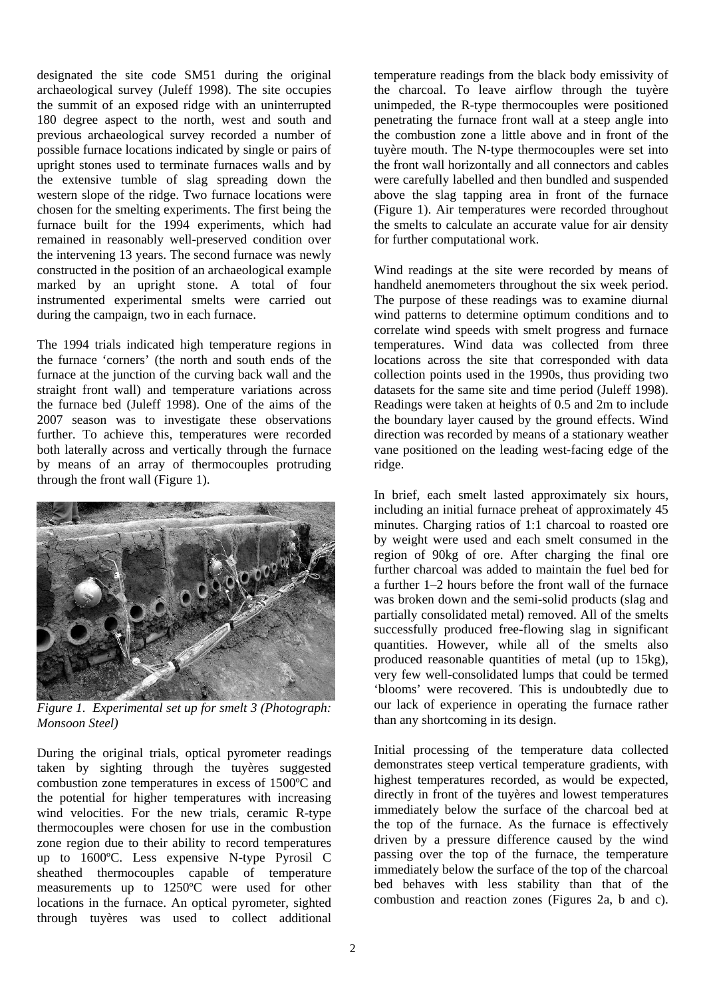designated the site code SM51 during the original archaeological survey (Juleff 1998). The site occupies the summit of an exposed ridge with an uninterrupted 180 degree aspect to the north, west and south and previous archaeological survey recorded a number of possible furnace locations indicated by single or pairs of upright stones used to terminate furnaces walls and by the extensive tumble of slag spreading down the western slope of the ridge. Two furnace locations were chosen for the smelting experiments. The first being the furnace built for the 1994 experiments, which had remained in reasonably well-preserved condition over the intervening 13 years. The second furnace was newly constructed in the position of an archaeological example marked by an upright stone. A total of four instrumented experimental smelts were carried out during the campaign, two in each furnace.

The 1994 trials indicated high temperature regions in the furnace 'corners' (the north and south ends of the furnace at the junction of the curving back wall and the straight front wall) and temperature variations across the furnace bed (Juleff 1998). One of the aims of the 2007 season was to investigate these observations further. To achieve this, temperatures were recorded both laterally across and vertically through the furnace by means of an array of thermocouples protruding through the front wall (Figure 1).



*Figure 1. Experimental set up for smelt 3 (Photograph: Monsoon Steel)* 

During the original trials, optical pyrometer readings taken by sighting through the tuyères suggested combustion zone temperatures in excess of 1500ºC and the potential for higher temperatures with increasing wind velocities. For the new trials, ceramic R-type thermocouples were chosen for use in the combustion zone region due to their ability to record temperatures up to 1600ºC. Less expensive N-type Pyrosil C sheathed thermocouples capable of temperature measurements up to 1250ºC were used for other locations in the furnace. An optical pyrometer, sighted through tuyères was used to collect additional

temperature readings from the black body emissivity of the charcoal. To leave airflow through the tuyère unimpeded, the R-type thermocouples were positioned penetrating the furnace front wall at a steep angle into the combustion zone a little above and in front of the tuyère mouth. The N-type thermocouples were set into the front wall horizontally and all connectors and cables were carefully labelled and then bundled and suspended above the slag tapping area in front of the furnace (Figure 1). Air temperatures were recorded throughout the smelts to calculate an accurate value for air density for further computational work.

Wind readings at the site were recorded by means of handheld anemometers throughout the six week period. The purpose of these readings was to examine diurnal wind patterns to determine optimum conditions and to correlate wind speeds with smelt progress and furnace temperatures. Wind data was collected from three locations across the site that corresponded with data collection points used in the 1990s, thus providing two datasets for the same site and time period (Juleff 1998). Readings were taken at heights of 0.5 and 2m to include the boundary layer caused by the ground effects. Wind direction was recorded by means of a stationary weather vane positioned on the leading west-facing edge of the ridge.

In brief, each smelt lasted approximately six hours, including an initial furnace preheat of approximately 45 minutes. Charging ratios of 1:1 charcoal to roasted ore by weight were used and each smelt consumed in the region of 90kg of ore. After charging the final ore further charcoal was added to maintain the fuel bed for a further 1–2 hours before the front wall of the furnace was broken down and the semi-solid products (slag and partially consolidated metal) removed. All of the smelts successfully produced free-flowing slag in significant quantities. However, while all of the smelts also produced reasonable quantities of metal (up to 15kg), very few well-consolidated lumps that could be termed 'blooms' were recovered. This is undoubtedly due to our lack of experience in operating the furnace rather than any shortcoming in its design.

Initial processing of the temperature data collected demonstrates steep vertical temperature gradients, with highest temperatures recorded, as would be expected, directly in front of the tuyères and lowest temperatures immediately below the surface of the charcoal bed at the top of the furnace. As the furnace is effectively driven by a pressure difference caused by the wind passing over the top of the furnace, the temperature immediately below the surface of the top of the charcoal bed behaves with less stability than that of the combustion and reaction zones (Figures 2a, b and c).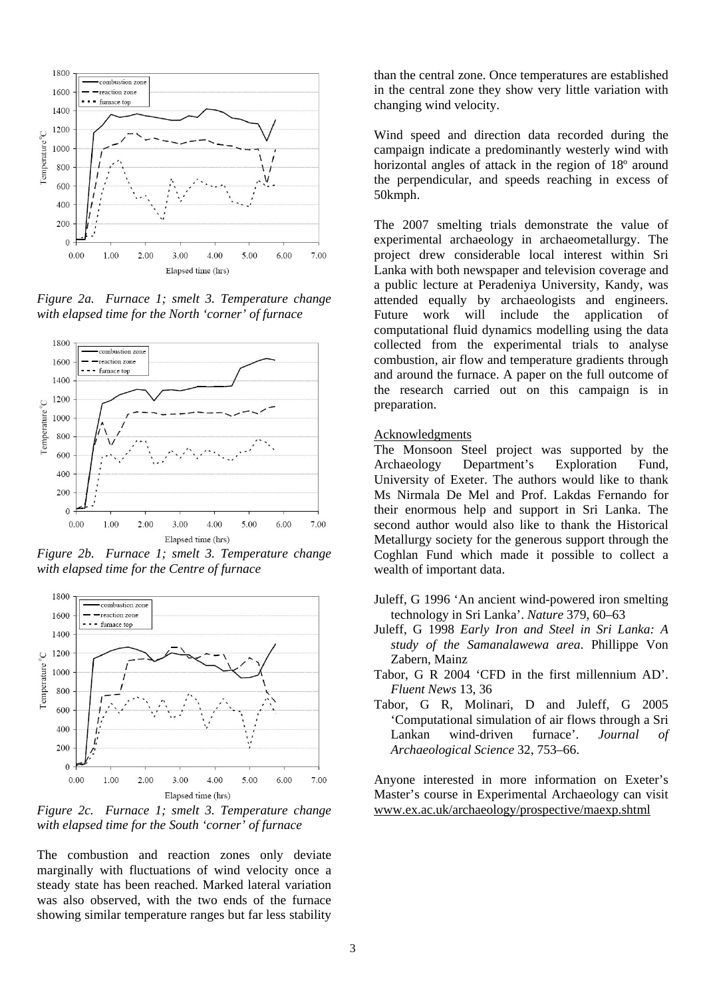

*Figure 2a. Furnace 1; smelt 3. Temperature change with elapsed time for the North 'corner' of furnace* 



*Figure 2b. Furnace 1; smelt 3. Temperature change with elapsed time for the Centre of furnace* 



*Figure 2c. Furnace 1; smelt 3. Temperature change with elapsed time for the South 'corner' of furnace* 

The combustion and reaction zones only deviate marginally with fluctuations of wind velocity once a steady state has been reached. Marked lateral variation was also observed, with the two ends of the furnace showing similar temperature ranges but far less stability

than the central zone. Once temperatures are established in the central zone they show very little variation with changing wind velocity.

Wind speed and direction data recorded during the campaign indicate a predominantly westerly wind with horizontal angles of attack in the region of 18º around the perpendicular, and speeds reaching in excess of 50kmph.

The 2007 smelting trials demonstrate the value of experimental archaeology in archaeometallurgy. The project drew considerable local interest within Sri Lanka with both newspaper and television coverage and a public lecture at Peradeniya University, Kandy, was attended equally by archaeologists and engineers. Future work will include the application of computational fluid dynamics modelling using the data collected from the experimental trials to analyse combustion, air flow and temperature gradients through and around the furnace. A paper on the full outcome of the research carried out on this campaign is in preparation.

#### Acknowledgments

The Monsoon Steel project was supported by the Archaeology Department's Exploration Fund, University of Exeter. The authors would like to thank Ms Nirmala De Mel and Prof. Lakdas Fernando for their enormous help and support in Sri Lanka. The second author would also like to thank the Historical Metallurgy society for the generous support through the Coghlan Fund which made it possible to collect a wealth of important data.

- Juleff, G 1996 'An ancient wind-powered iron smelting technology in Sri Lanka'. *Nature* 379, 60–63
- Juleff, G 1998 *Early Iron and Steel in Sri Lanka: A study of the Samanalawewa area*. Phillippe Von Zabern, Mainz
- Tabor, G R 2004 'CFD in the first millennium AD'. *Fluent News* 13, 36
- Tabor, G R, Molinari, D and Juleff, G 2005 'Computational simulation of air flows through a Sri Lankan wind-driven furnace'. *Journal of Archaeological Science* 32, 753–66.

Anyone interested in more information on Exeter's Master's course in Experimental Archaeology can visit www.ex.ac.uk/archaeology/prospective/maexp.shtml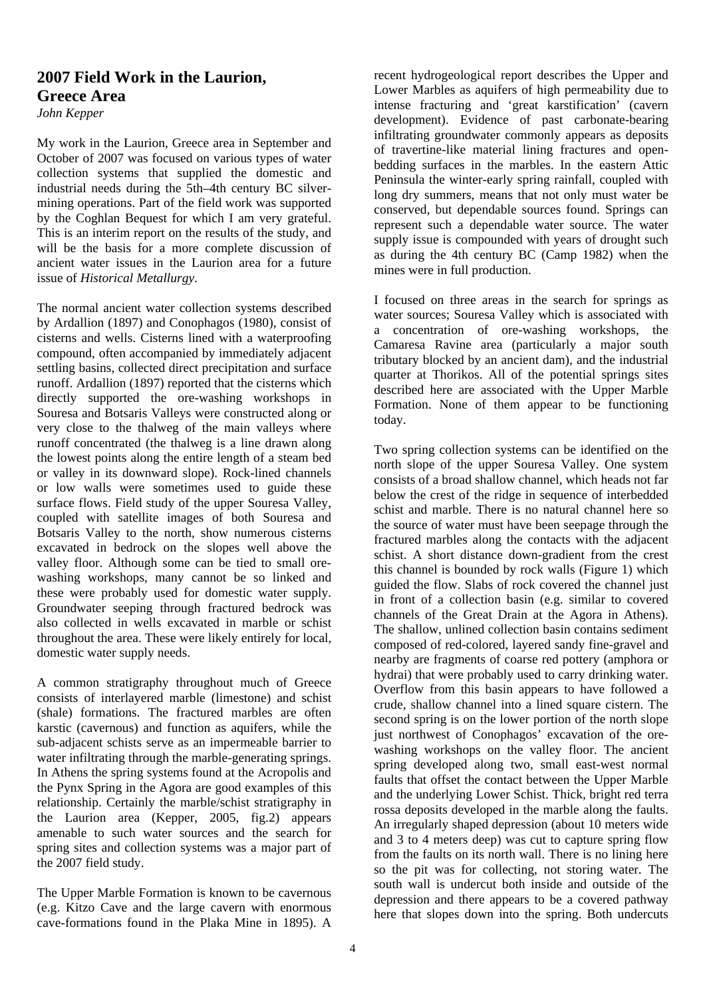## **2007 Field Work in the Laurion, Greece Area**

*John Kepper* 

My work in the Laurion, Greece area in September and October of 2007 was focused on various types of water collection systems that supplied the domestic and industrial needs during the 5th–4th century BC silvermining operations. Part of the field work was supported by the Coghlan Bequest for which I am very grateful. This is an interim report on the results of the study, and will be the basis for a more complete discussion of ancient water issues in the Laurion area for a future issue of *Historical Metallurgy*.

The normal ancient water collection systems described by Ardallion (1897) and Conophagos (1980), consist of cisterns and wells. Cisterns lined with a waterproofing compound, often accompanied by immediately adjacent settling basins, collected direct precipitation and surface runoff. Ardallion (1897) reported that the cisterns which directly supported the ore-washing workshops in Souresa and Botsaris Valleys were constructed along or very close to the thalweg of the main valleys where runoff concentrated (the thalweg is a line drawn along the lowest points along the entire length of a steam bed or valley in its downward slope). Rock-lined channels or low walls were sometimes used to guide these surface flows. Field study of the upper Souresa Valley, coupled with satellite images of both Souresa and Botsaris Valley to the north, show numerous cisterns excavated in bedrock on the slopes well above the valley floor. Although some can be tied to small orewashing workshops, many cannot be so linked and these were probably used for domestic water supply. Groundwater seeping through fractured bedrock was also collected in wells excavated in marble or schist throughout the area. These were likely entirely for local, domestic water supply needs.

A common stratigraphy throughout much of Greece consists of interlayered marble (limestone) and schist (shale) formations. The fractured marbles are often karstic (cavernous) and function as aquifers, while the sub-adjacent schists serve as an impermeable barrier to water infiltrating through the marble-generating springs. In Athens the spring systems found at the Acropolis and the Pynx Spring in the Agora are good examples of this relationship. Certainly the marble/schist stratigraphy in the Laurion area (Kepper, 2005, fig.2) appears amenable to such water sources and the search for spring sites and collection systems was a major part of the 2007 field study.

The Upper Marble Formation is known to be cavernous (e.g. Kitzo Cave and the large cavern with enormous cave-formations found in the Plaka Mine in 1895). A

recent hydrogeological report describes the Upper and Lower Marbles as aquifers of high permeability due to intense fracturing and 'great karstification' (cavern development). Evidence of past carbonate-bearing infiltrating groundwater commonly appears as deposits of travertine-like material lining fractures and openbedding surfaces in the marbles. In the eastern Attic Peninsula the winter-early spring rainfall, coupled with long dry summers, means that not only must water be conserved, but dependable sources found. Springs can represent such a dependable water source. The water supply issue is compounded with years of drought such as during the 4th century BC (Camp 1982) when the mines were in full production.

I focused on three areas in the search for springs as water sources; Souresa Valley which is associated with a concentration of ore-washing workshops, the Camaresa Ravine area (particularly a major south tributary blocked by an ancient dam), and the industrial quarter at Thorikos. All of the potential springs sites described here are associated with the Upper Marble Formation. None of them appear to be functioning today.

Two spring collection systems can be identified on the north slope of the upper Souresa Valley. One system consists of a broad shallow channel, which heads not far below the crest of the ridge in sequence of interbedded schist and marble. There is no natural channel here so the source of water must have been seepage through the fractured marbles along the contacts with the adjacent schist. A short distance down-gradient from the crest this channel is bounded by rock walls (Figure 1) which guided the flow. Slabs of rock covered the channel just in front of a collection basin (e.g. similar to covered channels of the Great Drain at the Agora in Athens). The shallow, unlined collection basin contains sediment composed of red-colored, layered sandy fine-gravel and nearby are fragments of coarse red pottery (amphora or hydrai) that were probably used to carry drinking water. Overflow from this basin appears to have followed a crude, shallow channel into a lined square cistern. The second spring is on the lower portion of the north slope just northwest of Conophagos' excavation of the orewashing workshops on the valley floor. The ancient spring developed along two, small east-west normal faults that offset the contact between the Upper Marble and the underlying Lower Schist. Thick, bright red terra rossa deposits developed in the marble along the faults. An irregularly shaped depression (about 10 meters wide and 3 to 4 meters deep) was cut to capture spring flow from the faults on its north wall. There is no lining here so the pit was for collecting, not storing water. The south wall is undercut both inside and outside of the depression and there appears to be a covered pathway here that slopes down into the spring. Both undercuts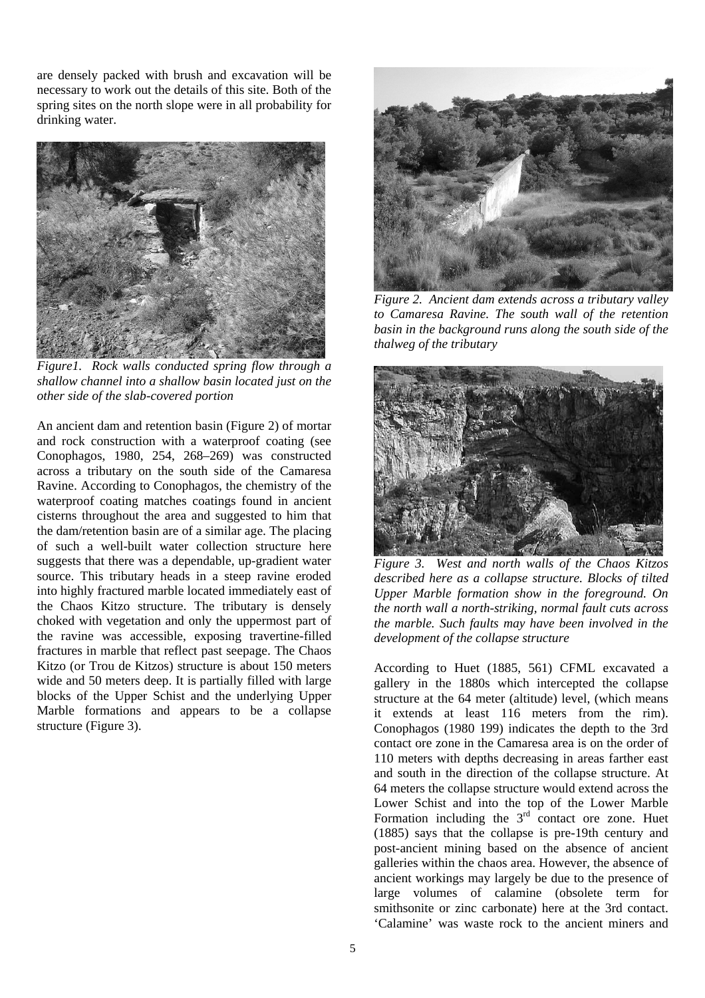are densely packed with brush and excavation will be necessary to work out the details of this site. Both of the spring sites on the north slope were in all probability for drinking water.



*Figure1. Rock walls conducted spring flow through a shallow channel into a shallow basin located just on the other side of the slab-covered portion* 

An ancient dam and retention basin (Figure 2) of mortar and rock construction with a waterproof coating (see Conophagos, 1980, 254, 268–269) was constructed across a tributary on the south side of the Camaresa Ravine. According to Conophagos, the chemistry of the waterproof coating matches coatings found in ancient cisterns throughout the area and suggested to him that the dam/retention basin are of a similar age. The placing of such a well-built water collection structure here suggests that there was a dependable, up-gradient water source. This tributary heads in a steep ravine eroded into highly fractured marble located immediately east of the Chaos Kitzo structure. The tributary is densely choked with vegetation and only the uppermost part of the ravine was accessible, exposing travertine-filled fractures in marble that reflect past seepage. The Chaos Kitzo (or Trou de Kitzos) structure is about 150 meters wide and 50 meters deep. It is partially filled with large blocks of the Upper Schist and the underlying Upper Marble formations and appears to be a collapse structure (Figure 3).



*Figure 2. Ancient dam extends across a tributary valley to Camaresa Ravine. The south wall of the retention basin in the background runs along the south side of the thalweg of the tributary* 



*Figure 3. West and north walls of the Chaos Kitzos described here as a collapse structure. Blocks of tilted Upper Marble formation show in the foreground. On the north wall a north-striking, normal fault cuts across the marble. Such faults may have been involved in the development of the collapse structure* 

According to Huet (1885, 561) CFML excavated a gallery in the 1880s which intercepted the collapse structure at the 64 meter (altitude) level, (which means it extends at least 116 meters from the rim). Conophagos (1980 199) indicates the depth to the 3rd contact ore zone in the Camaresa area is on the order of 110 meters with depths decreasing in areas farther east and south in the direction of the collapse structure. At 64 meters the collapse structure would extend across the Lower Schist and into the top of the Lower Marble Formation including the  $3<sup>rd</sup>$  contact ore zone. Huet (1885) says that the collapse is pre-19th century and post-ancient mining based on the absence of ancient galleries within the chaos area. However, the absence of ancient workings may largely be due to the presence of large volumes of calamine (obsolete term for smithsonite or zinc carbonate) here at the 3rd contact. 'Calamine' was waste rock to the ancient miners and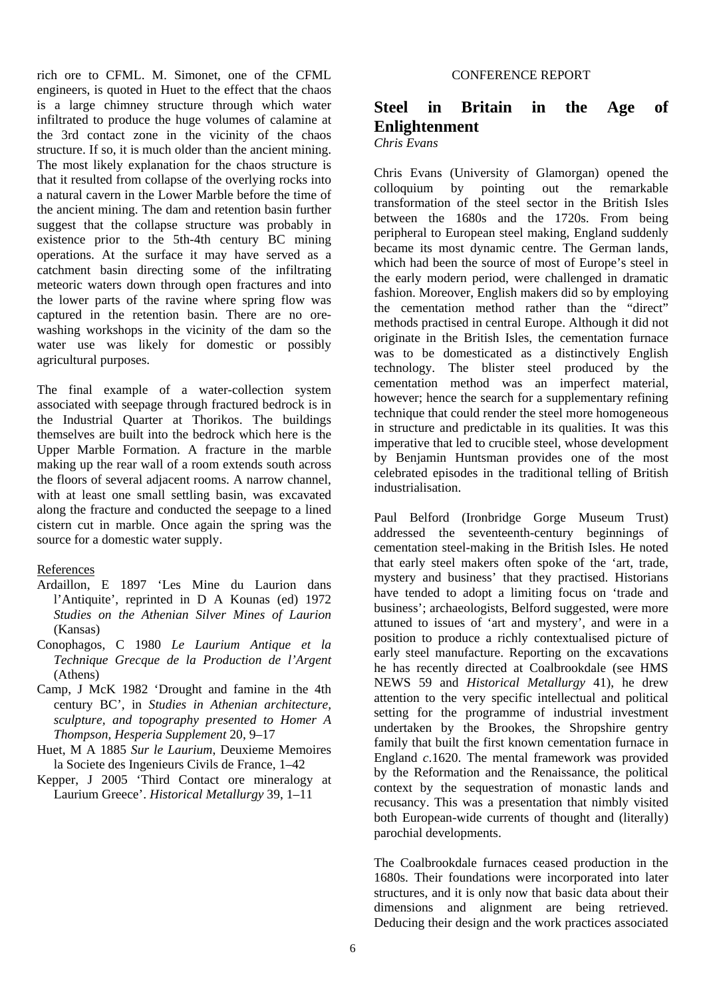rich ore to CFML. M. Simonet, one of the CFML engineers, is quoted in Huet to the effect that the chaos is a large chimney structure through which water infiltrated to produce the huge volumes of calamine at the 3rd contact zone in the vicinity of the chaos structure. If so, it is much older than the ancient mining. The most likely explanation for the chaos structure is that it resulted from collapse of the overlying rocks into a natural cavern in the Lower Marble before the time of the ancient mining. The dam and retention basin further suggest that the collapse structure was probably in existence prior to the 5th-4th century BC mining operations. At the surface it may have served as a catchment basin directing some of the infiltrating meteoric waters down through open fractures and into the lower parts of the ravine where spring flow was captured in the retention basin. There are no orewashing workshops in the vicinity of the dam so the water use was likely for domestic or possibly agricultural purposes.

The final example of a water-collection system associated with seepage through fractured bedrock is in the Industrial Quarter at Thorikos. The buildings themselves are built into the bedrock which here is the Upper Marble Formation. A fracture in the marble making up the rear wall of a room extends south across the floors of several adjacent rooms. A narrow channel, with at least one small settling basin, was excavated along the fracture and conducted the seepage to a lined cistern cut in marble. Once again the spring was the source for a domestic water supply.

### References

- Ardaillon, E 1897 'Les Mine du Laurion dans l'Antiquite', reprinted in D A Kounas (ed) 1972 *Studies on the Athenian Silver Mines of Laurion*  (Kansas)
- Conophagos, C 1980 *Le Laurium Antique et la Technique Grecque de la Production de l'Argent*  (Athens)
- Camp, J McK 1982 'Drought and famine in the 4th century BC', in *Studies in Athenian architecture, sculpture, and topography presented to Homer A Thompson, Hesperia Supplement* 20, 9–17
- Huet, M A 1885 *Sur le Laurium*, Deuxieme Memoires la Societe des Ingenieurs Civils de France, 1–42
- Kepper, J 2005 'Third Contact ore mineralogy at Laurium Greece'. *Historical Metallurgy* 39, 1–11

## **Steel in Britain in the Age of Enlightenment**

*Chris Evans* 

Chris Evans (University of Glamorgan) opened the colloquium by pointing out the remarkable transformation of the steel sector in the British Isles between the 1680s and the 1720s. From being peripheral to European steel making, England suddenly became its most dynamic centre. The German lands, which had been the source of most of Europe's steel in the early modern period, were challenged in dramatic fashion. Moreover, English makers did so by employing the cementation method rather than the "direct" methods practised in central Europe. Although it did not originate in the British Isles, the cementation furnace was to be domesticated as a distinctively English technology. The blister steel produced by the cementation method was an imperfect material, however; hence the search for a supplementary refining technique that could render the steel more homogeneous in structure and predictable in its qualities. It was this imperative that led to crucible steel, whose development by Benjamin Huntsman provides one of the most celebrated episodes in the traditional telling of British industrialisation.

Paul Belford (Ironbridge Gorge Museum Trust) addressed the seventeenth-century beginnings of cementation steel-making in the British Isles. He noted that early steel makers often spoke of the 'art, trade, mystery and business' that they practised. Historians have tended to adopt a limiting focus on 'trade and business'; archaeologists, Belford suggested, were more attuned to issues of 'art and mystery', and were in a position to produce a richly contextualised picture of early steel manufacture. Reporting on the excavations he has recently directed at Coalbrookdale (see HMS NEWS 59 and *Historical Metallurgy* 41), he drew attention to the very specific intellectual and political setting for the programme of industrial investment undertaken by the Brookes, the Shropshire gentry family that built the first known cementation furnace in England *c*.1620. The mental framework was provided by the Reformation and the Renaissance, the political context by the sequestration of monastic lands and recusancy. This was a presentation that nimbly visited both European-wide currents of thought and (literally) parochial developments.

The Coalbrookdale furnaces ceased production in the 1680s. Their foundations were incorporated into later structures, and it is only now that basic data about their dimensions and alignment are being retrieved. Deducing their design and the work practices associated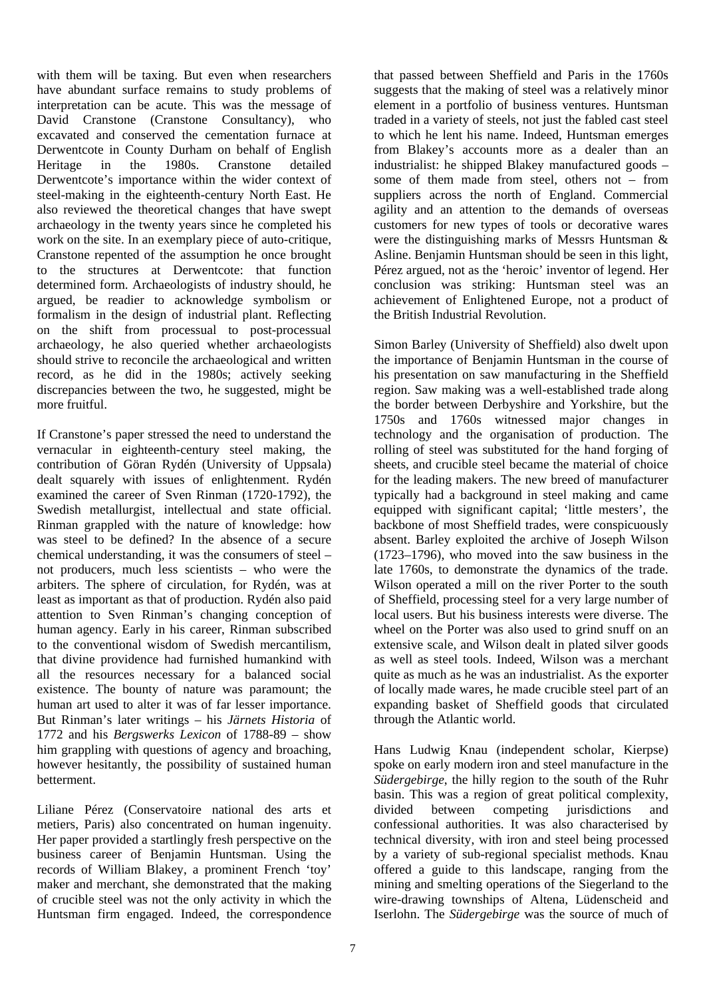with them will be taxing. But even when researchers have abundant surface remains to study problems of interpretation can be acute. This was the message of David Cranstone (Cranstone Consultancy), who excavated and conserved the cementation furnace at Derwentcote in County Durham on behalf of English Heritage in the 1980s. Cranstone detailed Derwentcote's importance within the wider context of steel-making in the eighteenth-century North East. He also reviewed the theoretical changes that have swept archaeology in the twenty years since he completed his work on the site. In an exemplary piece of auto-critique, Cranstone repented of the assumption he once brought to the structures at Derwentcote: that function determined form. Archaeologists of industry should, he argued, be readier to acknowledge symbolism or formalism in the design of industrial plant. Reflecting on the shift from processual to post-processual archaeology, he also queried whether archaeologists should strive to reconcile the archaeological and written record, as he did in the 1980s; actively seeking discrepancies between the two, he suggested, might be more fruitful.

If Cranstone's paper stressed the need to understand the vernacular in eighteenth-century steel making, the contribution of Göran Rydén (University of Uppsala) dealt squarely with issues of enlightenment. Rydén examined the career of Sven Rinman (1720-1792), the Swedish metallurgist, intellectual and state official. Rinman grappled with the nature of knowledge: how was steel to be defined? In the absence of a secure chemical understanding, it was the consumers of steel – not producers, much less scientists – who were the arbiters. The sphere of circulation, for Rydén, was at least as important as that of production. Rydén also paid attention to Sven Rinman's changing conception of human agency. Early in his career, Rinman subscribed to the conventional wisdom of Swedish mercantilism, that divine providence had furnished humankind with all the resources necessary for a balanced social existence. The bounty of nature was paramount; the human art used to alter it was of far lesser importance. But Rinman's later writings – his *Järnets Historia* of 1772 and his *Bergswerks Lexicon* of 1788-89 – show him grappling with questions of agency and broaching, however hesitantly, the possibility of sustained human betterment.

Liliane Pérez (Conservatoire national des arts et metiers, Paris) also concentrated on human ingenuity. Her paper provided a startlingly fresh perspective on the business career of Benjamin Huntsman. Using the records of William Blakey, a prominent French 'toy' maker and merchant, she demonstrated that the making of crucible steel was not the only activity in which the Huntsman firm engaged. Indeed, the correspondence

that passed between Sheffield and Paris in the 1760s suggests that the making of steel was a relatively minor element in a portfolio of business ventures. Huntsman traded in a variety of steels, not just the fabled cast steel to which he lent his name. Indeed, Huntsman emerges from Blakey's accounts more as a dealer than an industrialist: he shipped Blakey manufactured goods – some of them made from steel, others not – from suppliers across the north of England. Commercial agility and an attention to the demands of overseas customers for new types of tools or decorative wares were the distinguishing marks of Messrs Huntsman & Asline. Benjamin Huntsman should be seen in this light, Pérez argued, not as the 'heroic' inventor of legend. Her conclusion was striking: Huntsman steel was an achievement of Enlightened Europe, not a product of the British Industrial Revolution.

Simon Barley (University of Sheffield) also dwelt upon the importance of Benjamin Huntsman in the course of his presentation on saw manufacturing in the Sheffield region. Saw making was a well-established trade along the border between Derbyshire and Yorkshire, but the 1750s and 1760s witnessed major changes in technology and the organisation of production. The rolling of steel was substituted for the hand forging of sheets, and crucible steel became the material of choice for the leading makers. The new breed of manufacturer typically had a background in steel making and came equipped with significant capital; 'little mesters', the backbone of most Sheffield trades, were conspicuously absent. Barley exploited the archive of Joseph Wilson (1723–1796), who moved into the saw business in the late 1760s, to demonstrate the dynamics of the trade. Wilson operated a mill on the river Porter to the south of Sheffield, processing steel for a very large number of local users. But his business interests were diverse. The wheel on the Porter was also used to grind snuff on an extensive scale, and Wilson dealt in plated silver goods as well as steel tools. Indeed, Wilson was a merchant quite as much as he was an industrialist. As the exporter of locally made wares, he made crucible steel part of an expanding basket of Sheffield goods that circulated through the Atlantic world.

Hans Ludwig Knau (independent scholar, Kierpse) spoke on early modern iron and steel manufacture in the *Südergebirge*, the hilly region to the south of the Ruhr basin. This was a region of great political complexity, divided between competing jurisdictions and confessional authorities. It was also characterised by technical diversity, with iron and steel being processed by a variety of sub-regional specialist methods. Knau offered a guide to this landscape, ranging from the mining and smelting operations of the Siegerland to the wire-drawing townships of Altena, Lüdenscheid and Iserlohn. The *Südergebirge* was the source of much of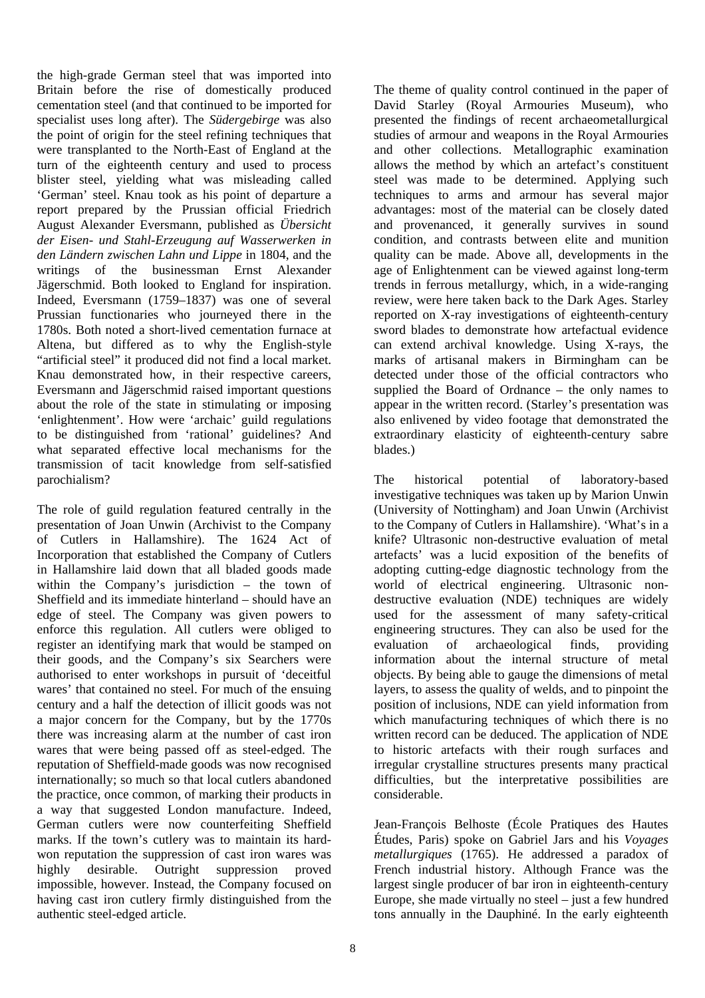the high-grade German steel that was imported into Britain before the rise of domestically produced cementation steel (and that continued to be imported for specialist uses long after). The *Südergebirge* was also the point of origin for the steel refining techniques that were transplanted to the North-East of England at the turn of the eighteenth century and used to process blister steel, yielding what was misleading called 'German' steel. Knau took as his point of departure a report prepared by the Prussian official Friedrich August Alexander Eversmann, published as *Übersicht der Eisen- und Stahl-Erzeugung auf Wasserwerken in den Ländern zwischen Lahn und Lippe* in 1804, and the writings of the businessman Ernst Alexander Jägerschmid. Both looked to England for inspiration. Indeed, Eversmann (1759–1837) was one of several Prussian functionaries who journeyed there in the 1780s. Both noted a short-lived cementation furnace at Altena, but differed as to why the English-style "artificial steel" it produced did not find a local market. Knau demonstrated how, in their respective careers, Eversmann and Jägerschmid raised important questions about the role of the state in stimulating or imposing 'enlightenment'. How were 'archaic' guild regulations to be distinguished from 'rational' guidelines? And what separated effective local mechanisms for the transmission of tacit knowledge from self-satisfied parochialism?

The role of guild regulation featured centrally in the presentation of Joan Unwin (Archivist to the Company of Cutlers in Hallamshire). The 1624 Act of Incorporation that established the Company of Cutlers in Hallamshire laid down that all bladed goods made within the Company's jurisdiction – the town of Sheffield and its immediate hinterland – should have an edge of steel. The Company was given powers to enforce this regulation. All cutlers were obliged to register an identifying mark that would be stamped on their goods, and the Company's six Searchers were authorised to enter workshops in pursuit of 'deceitful wares' that contained no steel. For much of the ensuing century and a half the detection of illicit goods was not a major concern for the Company, but by the 1770s there was increasing alarm at the number of cast iron wares that were being passed off as steel-edged. The reputation of Sheffield-made goods was now recognised internationally; so much so that local cutlers abandoned the practice, once common, of marking their products in a way that suggested London manufacture. Indeed, German cutlers were now counterfeiting Sheffield marks. If the town's cutlery was to maintain its hardwon reputation the suppression of cast iron wares was highly desirable. Outright suppression proved impossible, however. Instead, the Company focused on having cast iron cutlery firmly distinguished from the authentic steel-edged article.

The theme of quality control continued in the paper of David Starley (Royal Armouries Museum), who presented the findings of recent archaeometallurgical studies of armour and weapons in the Royal Armouries and other collections. Metallographic examination allows the method by which an artefact's constituent steel was made to be determined. Applying such techniques to arms and armour has several major advantages: most of the material can be closely dated and provenanced, it generally survives in sound condition, and contrasts between elite and munition quality can be made. Above all, developments in the age of Enlightenment can be viewed against long-term trends in ferrous metallurgy, which, in a wide-ranging review, were here taken back to the Dark Ages. Starley reported on X-ray investigations of eighteenth-century sword blades to demonstrate how artefactual evidence can extend archival knowledge. Using X-rays, the marks of artisanal makers in Birmingham can be detected under those of the official contractors who supplied the Board of Ordnance – the only names to appear in the written record. (Starley's presentation was also enlivened by video footage that demonstrated the extraordinary elasticity of eighteenth-century sabre blades.)

The historical potential of laboratory-based investigative techniques was taken up by Marion Unwin (University of Nottingham) and Joan Unwin (Archivist to the Company of Cutlers in Hallamshire). 'What's in a knife? Ultrasonic non-destructive evaluation of metal artefacts' was a lucid exposition of the benefits of adopting cutting-edge diagnostic technology from the world of electrical engineering. Ultrasonic nondestructive evaluation (NDE) techniques are widely used for the assessment of many safety-critical engineering structures. They can also be used for the evaluation of archaeological finds, providing information about the internal structure of metal objects. By being able to gauge the dimensions of metal layers, to assess the quality of welds, and to pinpoint the position of inclusions, NDE can yield information from which manufacturing techniques of which there is no written record can be deduced. The application of NDE to historic artefacts with their rough surfaces and irregular crystalline structures presents many practical difficulties, but the interpretative possibilities are considerable.

Jean-François Belhoste (École Pratiques des Hautes Études, Paris) spoke on Gabriel Jars and his *Voyages metallurgiques* (1765). He addressed a paradox of French industrial history. Although France was the largest single producer of bar iron in eighteenth-century Europe, she made virtually no steel – just a few hundred tons annually in the Dauphiné. In the early eighteenth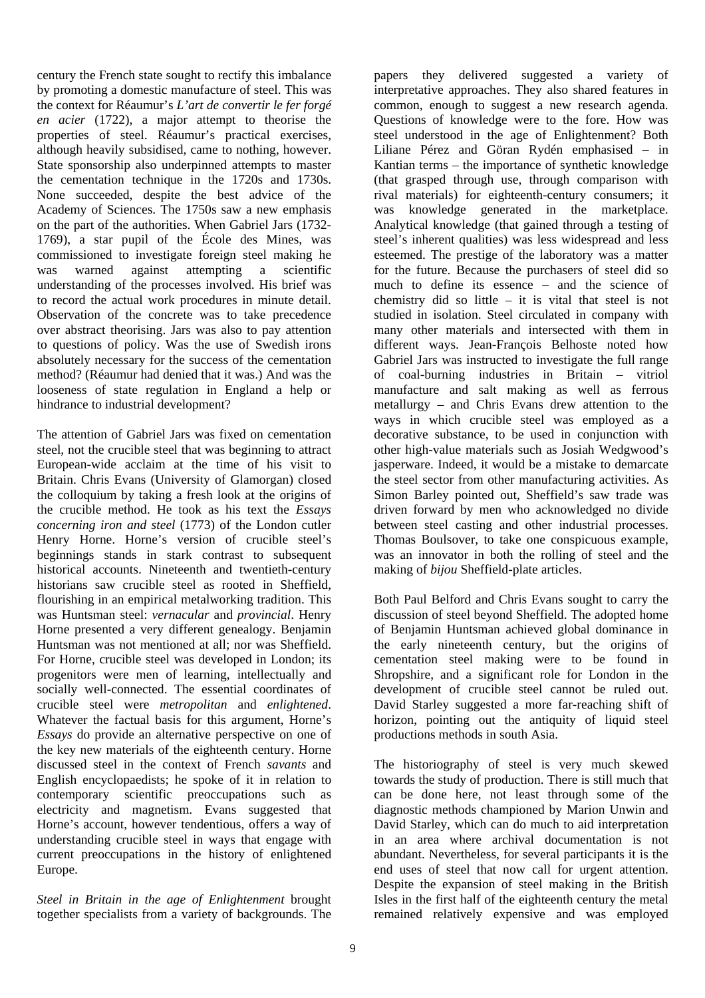century the French state sought to rectify this imbalance by promoting a domestic manufacture of steel. This was the context for Réaumur's *L'art de convertir le fer forgé en acier* (1722), a major attempt to theorise the properties of steel. Réaumur's practical exercises, although heavily subsidised, came to nothing, however. State sponsorship also underpinned attempts to master the cementation technique in the 1720s and 1730s. None succeeded, despite the best advice of the Academy of Sciences. The 1750s saw a new emphasis on the part of the authorities. When Gabriel Jars (1732- 1769), a star pupil of the École des Mines, was commissioned to investigate foreign steel making he was warned against attempting a scientific understanding of the processes involved. His brief was to record the actual work procedures in minute detail. Observation of the concrete was to take precedence over abstract theorising. Jars was also to pay attention to questions of policy. Was the use of Swedish irons absolutely necessary for the success of the cementation method? (Réaumur had denied that it was.) And was the looseness of state regulation in England a help or hindrance to industrial development?

The attention of Gabriel Jars was fixed on cementation steel, not the crucible steel that was beginning to attract European-wide acclaim at the time of his visit to Britain. Chris Evans (University of Glamorgan) closed the colloquium by taking a fresh look at the origins of the crucible method. He took as his text the *Essays concerning iron and steel* (1773) of the London cutler Henry Horne. Horne's version of crucible steel's beginnings stands in stark contrast to subsequent historical accounts. Nineteenth and twentieth-century historians saw crucible steel as rooted in Sheffield, flourishing in an empirical metalworking tradition. This was Huntsman steel: *vernacular* and *provincial*. Henry Horne presented a very different genealogy. Benjamin Huntsman was not mentioned at all; nor was Sheffield. For Horne, crucible steel was developed in London; its progenitors were men of learning, intellectually and socially well-connected. The essential coordinates of crucible steel were *metropolitan* and *enlightened*. Whatever the factual basis for this argument, Horne's *Essays* do provide an alternative perspective on one of the key new materials of the eighteenth century. Horne discussed steel in the context of French *savants* and English encyclopaedists; he spoke of it in relation to contemporary scientific preoccupations such as electricity and magnetism. Evans suggested that Horne's account, however tendentious, offers a way of understanding crucible steel in ways that engage with current preoccupations in the history of enlightened Europe.

*Steel in Britain in the age of Enlightenment* brought together specialists from a variety of backgrounds. The

papers they delivered suggested a variety of interpretative approaches. They also shared features in common, enough to suggest a new research agenda. Questions of knowledge were to the fore. How was steel understood in the age of Enlightenment? Both Liliane Pérez and Göran Rydén emphasised – in Kantian terms – the importance of synthetic knowledge (that grasped through use, through comparison with rival materials) for eighteenth-century consumers; it was knowledge generated in the marketplace. Analytical knowledge (that gained through a testing of steel's inherent qualities) was less widespread and less esteemed. The prestige of the laboratory was a matter for the future. Because the purchasers of steel did so much to define its essence – and the science of chemistry did so little  $-$  it is vital that steel is not studied in isolation. Steel circulated in company with many other materials and intersected with them in different ways. Jean-François Belhoste noted how Gabriel Jars was instructed to investigate the full range of coal-burning industries in Britain – vitriol manufacture and salt making as well as ferrous metallurgy – and Chris Evans drew attention to the ways in which crucible steel was employed as a decorative substance, to be used in conjunction with other high-value materials such as Josiah Wedgwood's jasperware. Indeed, it would be a mistake to demarcate the steel sector from other manufacturing activities. As Simon Barley pointed out, Sheffield's saw trade was driven forward by men who acknowledged no divide between steel casting and other industrial processes. Thomas Boulsover, to take one conspicuous example, was an innovator in both the rolling of steel and the making of *bijou* Sheffield-plate articles.

Both Paul Belford and Chris Evans sought to carry the discussion of steel beyond Sheffield. The adopted home of Benjamin Huntsman achieved global dominance in the early nineteenth century, but the origins of cementation steel making were to be found in Shropshire, and a significant role for London in the development of crucible steel cannot be ruled out. David Starley suggested a more far-reaching shift of horizon, pointing out the antiquity of liquid steel productions methods in south Asia.

The historiography of steel is very much skewed towards the study of production. There is still much that can be done here, not least through some of the diagnostic methods championed by Marion Unwin and David Starley, which can do much to aid interpretation in an area where archival documentation is not abundant. Nevertheless, for several participants it is the end uses of steel that now call for urgent attention. Despite the expansion of steel making in the British Isles in the first half of the eighteenth century the metal remained relatively expensive and was employed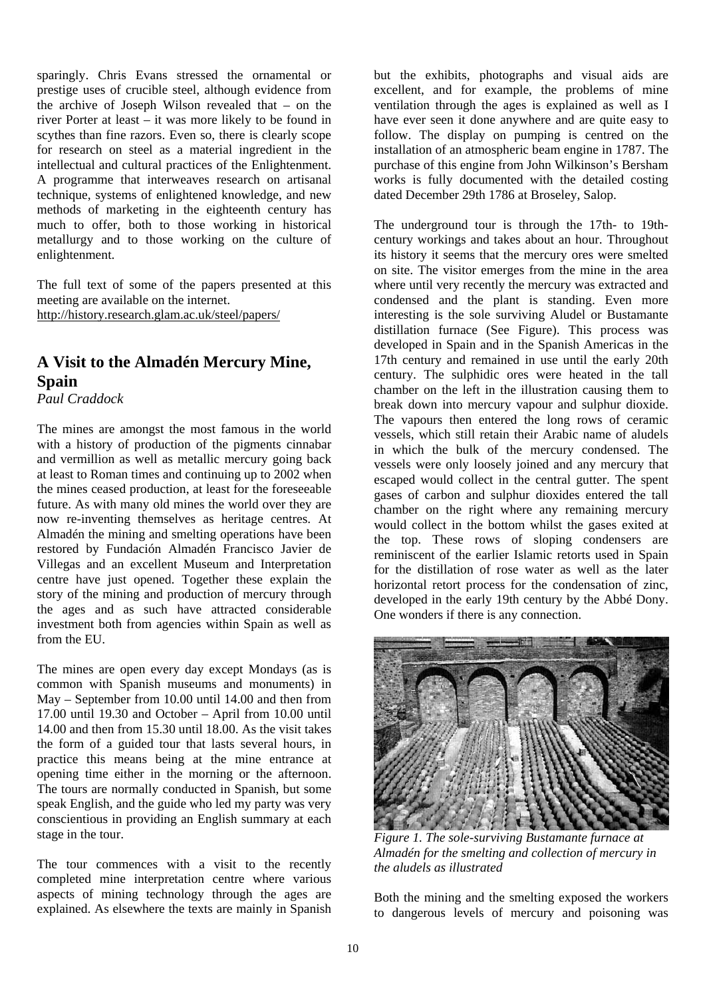sparingly. Chris Evans stressed the ornamental or prestige uses of crucible steel, although evidence from the archive of Joseph Wilson revealed that – on the river Porter at least – it was more likely to be found in scythes than fine razors. Even so, there is clearly scope for research on steel as a material ingredient in the intellectual and cultural practices of the Enlightenment. A programme that interweaves research on artisanal technique, systems of enlightened knowledge, and new methods of marketing in the eighteenth century has much to offer, both to those working in historical metallurgy and to those working on the culture of enlightenment.

The full text of some of the papers presented at this meeting are available on the internet. http://history.research.glam.ac.uk/steel/papers/

## **A Visit to the Almadén Mercury Mine, Spain**

*Paul Craddock* 

The mines are amongst the most famous in the world with a history of production of the pigments cinnabar and vermillion as well as metallic mercury going back at least to Roman times and continuing up to 2002 when the mines ceased production, at least for the foreseeable future. As with many old mines the world over they are now re-inventing themselves as heritage centres. At Almadén the mining and smelting operations have been restored by Fundación Almadén Francisco Javier de Villegas and an excellent Museum and Interpretation centre have just opened. Together these explain the story of the mining and production of mercury through the ages and as such have attracted considerable investment both from agencies within Spain as well as from the EU.

The mines are open every day except Mondays (as is common with Spanish museums and monuments) in May – September from 10.00 until 14.00 and then from 17.00 until 19.30 and October – April from 10.00 until 14.00 and then from 15.30 until 18.00. As the visit takes the form of a guided tour that lasts several hours, in practice this means being at the mine entrance at opening time either in the morning or the afternoon. The tours are normally conducted in Spanish, but some speak English, and the guide who led my party was very conscientious in providing an English summary at each stage in the tour.

The tour commences with a visit to the recently completed mine interpretation centre where various aspects of mining technology through the ages are explained. As elsewhere the texts are mainly in Spanish but the exhibits, photographs and visual aids are excellent, and for example, the problems of mine ventilation through the ages is explained as well as I have ever seen it done anywhere and are quite easy to follow. The display on pumping is centred on the installation of an atmospheric beam engine in 1787. The purchase of this engine from John Wilkinson's Bersham works is fully documented with the detailed costing dated December 29th 1786 at Broseley, Salop.

The underground tour is through the 17th- to 19thcentury workings and takes about an hour. Throughout its history it seems that the mercury ores were smelted on site. The visitor emerges from the mine in the area where until very recently the mercury was extracted and condensed and the plant is standing. Even more interesting is the sole surviving Aludel or Bustamante distillation furnace (See Figure). This process was developed in Spain and in the Spanish Americas in the 17th century and remained in use until the early 20th century. The sulphidic ores were heated in the tall chamber on the left in the illustration causing them to break down into mercury vapour and sulphur dioxide. The vapours then entered the long rows of ceramic vessels, which still retain their Arabic name of aludels in which the bulk of the mercury condensed. The vessels were only loosely joined and any mercury that escaped would collect in the central gutter. The spent gases of carbon and sulphur dioxides entered the tall chamber on the right where any remaining mercury would collect in the bottom whilst the gases exited at the top. These rows of sloping condensers are reminiscent of the earlier Islamic retorts used in Spain for the distillation of rose water as well as the later horizontal retort process for the condensation of zinc, developed in the early 19th century by the Abbé Dony. One wonders if there is any connection.



*Figure 1. The sole-surviving Bustamante furnace at Almadén for the smelting and collection of mercury in the aludels as illustrated* 

Both the mining and the smelting exposed the workers to dangerous levels of mercury and poisoning was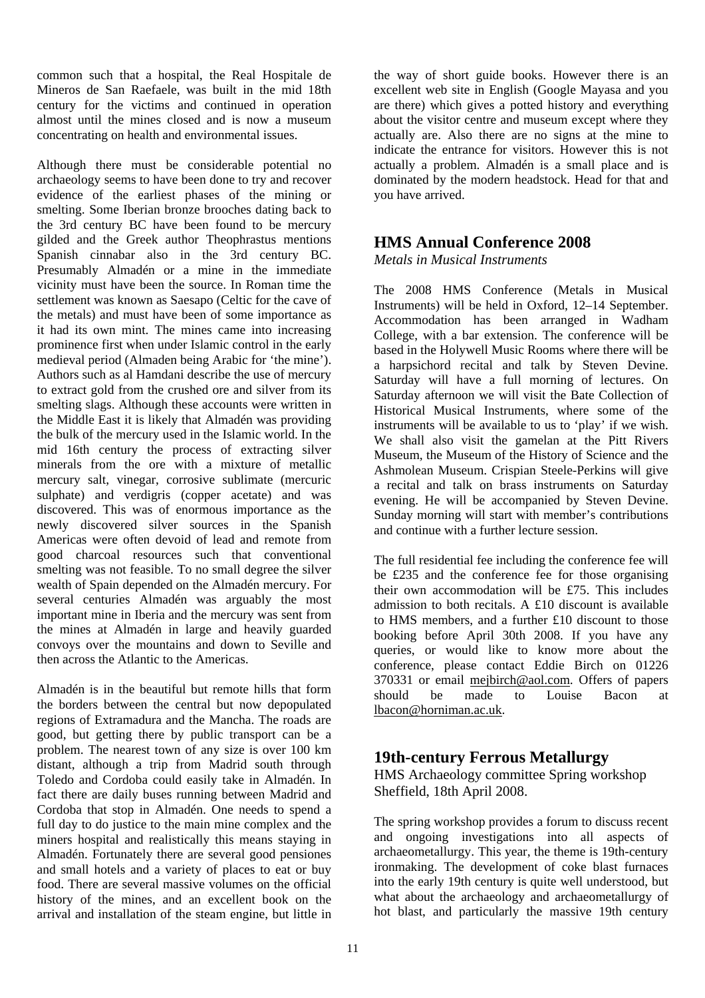common such that a hospital, the Real Hospitale de Mineros de San Raefaele, was built in the mid 18th century for the victims and continued in operation almost until the mines closed and is now a museum concentrating on health and environmental issues.

Although there must be considerable potential no archaeology seems to have been done to try and recover evidence of the earliest phases of the mining or smelting. Some Iberian bronze brooches dating back to the 3rd century BC have been found to be mercury gilded and the Greek author Theophrastus mentions Spanish cinnabar also in the 3rd century BC. Presumably Almadén or a mine in the immediate vicinity must have been the source. In Roman time the settlement was known as Saesapo (Celtic for the cave of the metals) and must have been of some importance as it had its own mint. The mines came into increasing prominence first when under Islamic control in the early medieval period (Almaden being Arabic for 'the mine'). Authors such as al Hamdani describe the use of mercury to extract gold from the crushed ore and silver from its smelting slags. Although these accounts were written in the Middle East it is likely that Almadén was providing the bulk of the mercury used in the Islamic world. In the mid 16th century the process of extracting silver minerals from the ore with a mixture of metallic mercury salt, vinegar, corrosive sublimate (mercuric sulphate) and verdigris (copper acetate) and was discovered. This was of enormous importance as the newly discovered silver sources in the Spanish Americas were often devoid of lead and remote from good charcoal resources such that conventional smelting was not feasible. To no small degree the silver wealth of Spain depended on the Almadén mercury. For several centuries Almadén was arguably the most important mine in Iberia and the mercury was sent from the mines at Almadén in large and heavily guarded convoys over the mountains and down to Seville and then across the Atlantic to the Americas.

Almadén is in the beautiful but remote hills that form the borders between the central but now depopulated regions of Extramadura and the Mancha. The roads are good, but getting there by public transport can be a problem. The nearest town of any size is over 100 km distant, although a trip from Madrid south through Toledo and Cordoba could easily take in Almadén. In fact there are daily buses running between Madrid and Cordoba that stop in Almadén. One needs to spend a full day to do justice to the main mine complex and the miners hospital and realistically this means staying in Almadén. Fortunately there are several good pensiones and small hotels and a variety of places to eat or buy food. There are several massive volumes on the official history of the mines, and an excellent book on the arrival and installation of the steam engine, but little in the way of short guide books. However there is an excellent web site in English (Google Mayasa and you are there) which gives a potted history and everything about the visitor centre and museum except where they actually are. Also there are no signs at the mine to indicate the entrance for visitors. However this is not actually a problem. Almadén is a small place and is dominated by the modern headstock. Head for that and you have arrived.

## **HMS Annual Conference 2008**

*Metals in Musical Instruments* 

The 2008 HMS Conference (Metals in Musical Instruments) will be held in Oxford, 12–14 September. Accommodation has been arranged in Wadham College, with a bar extension. The conference will be based in the Holywell Music Rooms where there will be a harpsichord recital and talk by Steven Devine. Saturday will have a full morning of lectures. On Saturday afternoon we will visit the Bate Collection of Historical Musical Instruments, where some of the instruments will be available to us to 'play' if we wish. We shall also visit the gamelan at the Pitt Rivers Museum, the Museum of the History of Science and the Ashmolean Museum. Crispian Steele-Perkins will give a recital and talk on brass instruments on Saturday evening. He will be accompanied by Steven Devine. Sunday morning will start with member's contributions and continue with a further lecture session.

The full residential fee including the conference fee will be £235 and the conference fee for those organising their own accommodation will be £75. This includes admission to both recitals. A £10 discount is available to HMS members, and a further £10 discount to those booking before April 30th 2008. If you have any queries, or would like to know more about the conference, please contact Eddie Birch on 01226 370331 or email mejbirch@aol.com. Offers of papers should be made to Louise Bacon at lbacon@horniman.ac.uk.

## **19th-century Ferrous Metallurgy**

HMS Archaeology committee Spring workshop Sheffield, 18th April 2008.

The spring workshop provides a forum to discuss recent and ongoing investigations into all aspects of archaeometallurgy. This year, the theme is 19th-century ironmaking. The development of coke blast furnaces into the early 19th century is quite well understood, but what about the archaeology and archaeometallurgy of hot blast, and particularly the massive 19th century